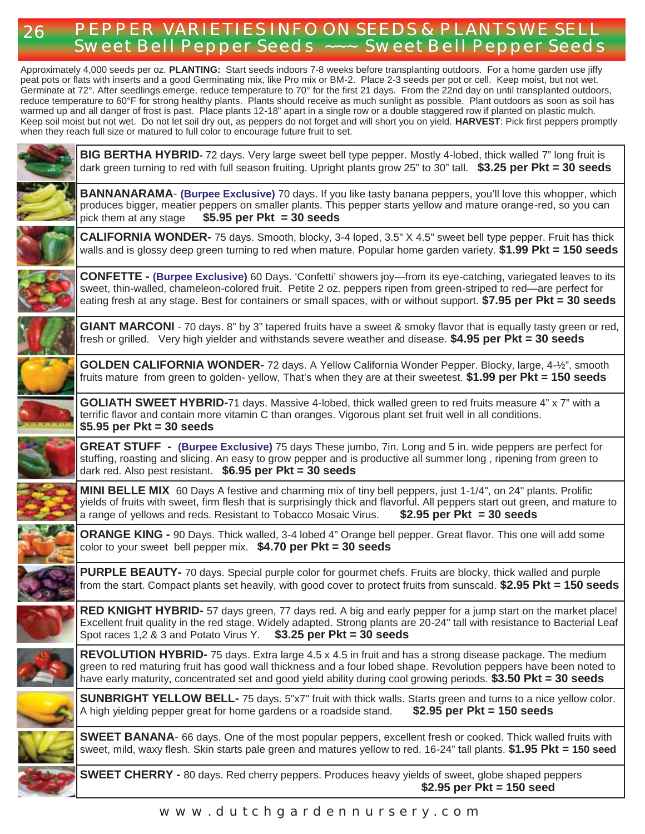## 26 **PEPPER VARIETIES INFO ON SEEDS & PLANTS WE SELL Sweet Bell Pepper Seeds ~~~ Sweet Bell Pepper Seeds**

Approximately 4,000 seeds per oz. **PLANTING:** Start seeds indoors 7-8 weeks before transplanting outdoors. For a home garden use jiffy peat pots or flats with inserts and a good Germinating mix, like Pro mix or BM-2. Place 2-3 seeds per pot or cell. Keep moist, but not wet. Germinate at 72°. After seedlings emerge, reduce temperature to 70° for the first 21 days. From the 22nd day on until transplanted outdoors, reduce temperature to 60°F for strong healthy plants. Plants should receive as much sunlight as possible. Plant outdoors as soon as soil has warmed up and all danger of frost is past. Place plants 12-18" apart in a single row or a double staggered row if planted on plastic mulch. Keep soil moist but not wet. Do not let soil dry out, as peppers do not forget and will short you on yield. **HARVEST**: Pick first peppers promptly when they reach full size or matured to full color to encourage future fruit to set.



### **www.dutchgardennursery.com**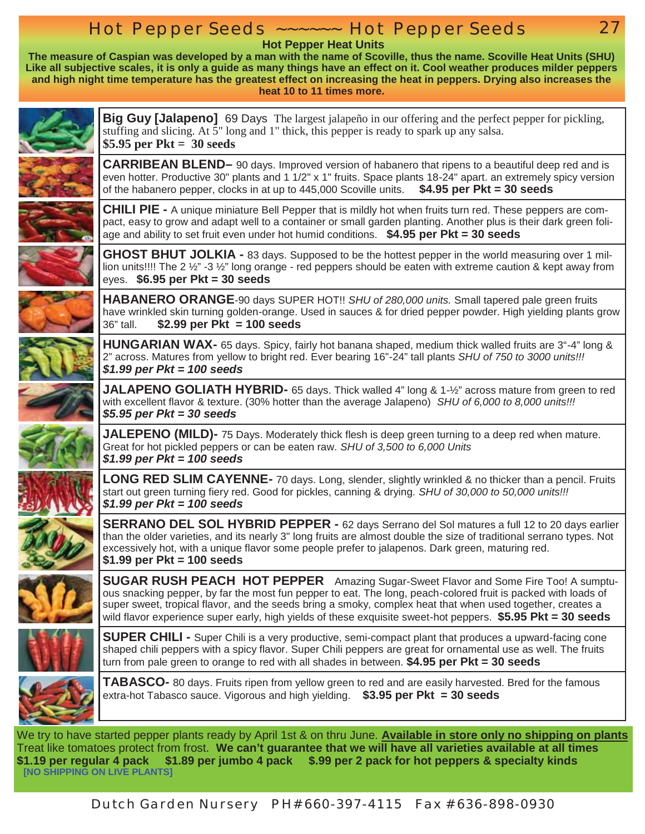## **Hot Pepper Seeds ~~~~~~ Hot Pepper Seeds**

 **Hot Pepper Heat Units** 

**The measure of Caspian was developed by a man with the name of Scoville, thus the name. Scoville Heat Units (SHU) Like all subjective scales, it is only a guide as many things have an effect on it. Cool weather produces milder peppers and high night time temperature has the greatest effect on increasing the heat in peppers. Drying also increases the heat 10 to 11 times more.**



**Big Guy [Jalapeno]** 69 Days The largest jalapeño in our offering and the perfect pepper for pickling, stuffing and slicing. At 5" long and 1" thick, this pepper is ready to spark up any salsa. **\$5.95 per Pkt = 30 seeds**

27

**CARRIBEAN BLEND–** 90 days. Improved version of habanero that ripens to a beautiful deep red and is even hotter. Productive 30" plants and 1 1/2" x 1" fruits. Space plants 18-24" apart. an extremely spicy version of the habanero pepper, clocks in at up to 445,000 Scoville units. **\$4.95 per Pkt = 30 seeds**



**CHILI PIE -** A unique miniature Bell Pepper that is mildly hot when fruits turn red. These peppers are compact, easy to grow and adapt well to a container or small garden planting. Another plus is their dark green foliage and ability to set fruit even under hot humid conditions. **\$4.95 per Pkt = 30 seeds**



**GHOST BHUT JOLKIA -** 83 days. Supposed to be the hottest pepper in the world measuring over 1 million units!!!! The 2  $\frac{1}{2}$  -3  $\frac{1}{2}$ " long orange - red peppers should be eaten with extreme caution & kept away from eyes. **\$6.95 per Pkt = 30 seeds**

**HABANERO ORANGE**-90 days SUPER HOT!! *SHU of 280,000 units.* Small tapered pale green fruits have wrinkled skin turning golden-orange. Used in sauces & for dried pepper powder. High yielding plants grow 36" tall. **\$2.99 per Pkt = 100 seeds**



**HUNGARIAN WAX-** 65 days. Spicy, fairly hot banana shaped, medium thick walled fruits are 3"-4" long & 2" across. Matures from yellow to bright red. Ever bearing 16"-24" tall plants *SHU of 750 to 3000 units!!! \$1.99 per Pkt = 100 seeds*



**JALAPENO GOLIATH HYBRID-** 65 days. Thick walled 4" long & 1-½" across mature from green to red with excellent flavor & texture. (30% hotter than the average Jalapeno) *SHU of 6,000 to 8,000 units!!! \$5.95 per Pkt = 30 seeds*

**JALEPENO (MILD)-** 75 Days. Moderately thick flesh is deep green turning to a deep red when mature. Great for hot pickled peppers or can be eaten raw. *SHU of 3,500 to 6,000 Units \$1.99 per Pkt = 100 seeds*

**LONG RED SLIM CAYENNE-** 70 days. Long, slender, slightly wrinkled & no thicker than a pencil. Fruits start out green turning fiery red. Good for pickles, canning & drying*. SHU of 30,000 to 50,000 units!!! \$1.99 per Pkt = 100 seeds* 



**SERRANO DEL SOL HYBRID PEPPER -** 62 days Serrano del Sol matures a full 12 to 20 days earlier than the older varieties, and its nearly 3" long fruits are almost double the size of traditional serrano types. Not excessively hot, with a unique flavor some people prefer to jalapenos. Dark green, maturing red. **\$1.99 per Pkt = 100 seeds**

**SUGAR RUSH PEACH HOT PEPPER** Amazing Sugar-Sweet Flavor and Some Fire Too! A sumptuous snacking pepper, by far the most fun pepper to eat. The long, peach-colored fruit is packed with loads of super sweet, tropical flavor, and the seeds bring a smoky, complex heat that when used together, creates a wild flavor experience super early, high yields of these exquisite sweet-hot peppers. **\$5.95 Pkt = 30 seeds**





**SUPER CHILI -** Super Chili is a very productive, semi-compact plant that produces a upward-facing cone shaped chili peppers with a spicy flavor. Super Chili peppers are great for ornamental use as well. The fruits turn from pale green to orange to red with all shades in between. **\$4.95 per Pkt = 30 seeds**

**TABASCO-** 80 days. Fruits ripen from yellow green to red and are easily harvested. Bred for the famous extra-hot Tabasco sauce. Vigorous and high yielding. **\$3.95 per Pkt = 30 seeds**

We try to have started pepper plants ready by April 1st & on thru June. **Available in store only no shipping on plants**  Treat like tomatoes protect from frost. **We can't guarantee that we will have all varieties available at all times 1.19** per regular 4 pack \$1.89 per jumbo 4 pack \$.99 per 2 pack for hot peppers & specialty kinds<br>[NO SHIPPING ON LIVE PLANTS]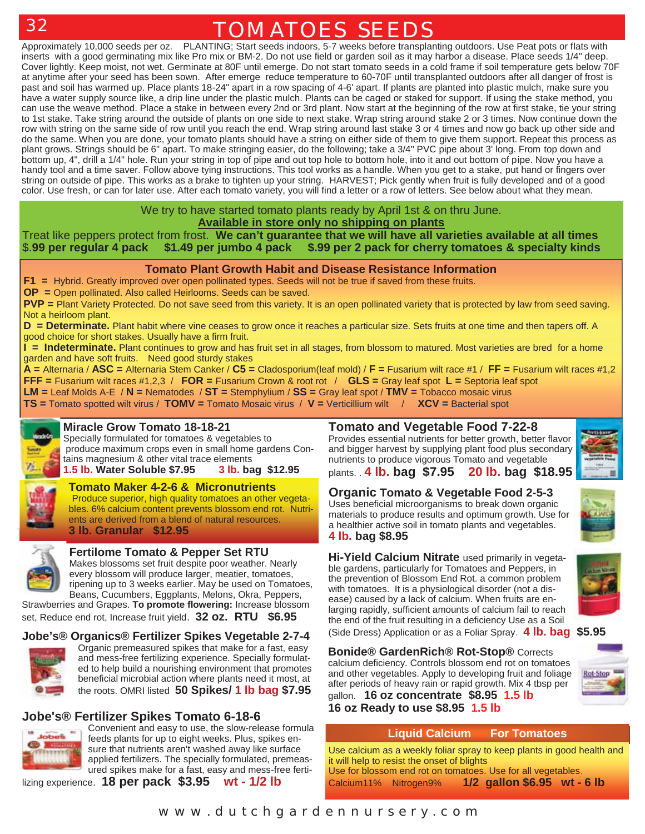# **TOMATOES SEEDS**

Approximately 10,000 seeds per oz. PLANTING; Start seeds indoors, 5-7 weeks before transplanting outdoors. Use Peat pots or flats with inserts with a good germinating mix like Pro mix or BM-2. Do not use field or garden soil as it may harbor a disease. Place seeds 1/4" deep. Cover lightly. Keep moist, not wet. Germinate at 80F until emerge. Do not start tomato seeds in a cold frame if soil temperature gets below 70F at anytime after your seed has been sown. After emerge reduce temperature to 60-70F until transplanted outdoors after all danger of frost is past and soil has warmed up. Place plants 18-24" apart in a row spacing of 4-6' apart. If plants are planted into plastic mulch, make sure you have a water supply source like, a drip line under the plastic mulch. Plants can be caged or staked for support. If using the stake method, you can use the weave method. Place a stake in between every 2nd or 3rd plant. Now start at the beginning of the row at first stake, tie your string to 1st stake. Take string around the outside of plants on one side to next stake. Wrap string around stake 2 or 3 times. Now continue down the row with string on the same side of row until you reach the end. Wrap string around last stake 3 or 4 times and now go back up other side and do the same. When you are done, your tomato plants should have a string on either side of them to give them support. Repeat this process as plant grows. Strings should be 6" apart. To make stringing easier, do the following; take a 3/4" PVC pipe about 3' long. From top down and bottom up, 4", drill a 1/4" hole. Run your string in top of pipe and out top hole to bottom hole, into it and out bottom of pipe. Now you have a handy tool and a time saver. Follow above tying instructions. This tool works as a handle. When you get to a stake, put hand or fingers over string on outside of pipe. This works as a brake to tighten up your string. HARVEST; Pick gently when fruit is fully developed and of a good color. Use fresh, or can for later use. After each tomato variety, you will find a letter or a row of letters. See below about what they mean.

#### We try to have started tomato plants ready by April 1st & on thru June. **Available in store only no shipping on plants**

#### Treat like peppers protect from frost. **We can't guarantee that we will have all varieties available at all times** \$.**99per regular 4 pack \$1.49 per jumbo 4 pack \$.99 per 2 pack for cherry tomatoes & specialty kinds**

#### **Tomato Plant Growth Habit and Disease Resistance Information**

**F1 =** Hybrid. Greatly improved over open pollinated types. Seeds will not be true if saved from these fruits.

**OP =** Open pollinated. Also called Heirlooms. Seeds can be saved.

**PVP =** Plant Variety Protected. Do not save seed from this variety. It is an open pollinated variety that is protected by law from seed saving. Not a heirloom plant.

**D** = **Determinate.** Plant habit where vine ceases to grow once it reaches a particular size. Sets fruits at one time and then tapers off. A good choice for short stakes. Usually have a firm fruit.

**I = Indeterminate.** Plant continues to grow and has fruit set in all stages, from blossom to matured. Most varieties are bred for a home garden and have soft fruits. Need good sturdy stakes

A = Alternaria / ASC = Alternaria Stem Canker / C5 = Cladosporium(leaf mold) / F = Fusarium wilt race #1 / FF = Fusarium wilt races #1,2 **FFF =** Fusarium wilt races #1,2,3 / **FOR =** Fusarium Crown & root rot / **GLS =** Gray leaf spot **L =** Septoria leaf spot **LM =** Leaf Molds A-E / **N =** Nematodes / **ST =** Stemphylium / **SS =** Gray leaf spot / **TMV =** Tobacco mosaic virus

**TS =** Tomato spotted wilt virus / **TOMV =** Tomato Mosaic virus / **V =** Verticillium wilt / **XCV =** Bacterial spot



**Miracle Grow Tomato 18-18-21**<br>Specially formulated for tomatoes & vegetables to

 produce maximum crops even in small home gardens Contains magnesium & other vital trace elements

**1.5 lb. Water Soluble \$7.95 3 lb. bag \$12.95** 

## **Tomato Maker 4-2-6 & Micronutrients**

Produce superior, high quality tomatoes an other vegetables. 6% calcium content prevents blossom end rot. Nutrients are derived from a blend of natural resources. **3 lb. Granular \$12.95**



### **Fertilome Tomato & Pepper Set RTU**

Makes blossoms set fruit despite poor weather. Nearly every blossom will produce larger, meatier, tomatoes, ripening up to 3 weeks earlier. May be used on Tomatoes, Beans, Cucumbers, Eggplants, Melons, Okra, Peppers,

Strawberries and Grapes. **To promote flowering:** Increase blossom set, Reduce end rot, Increase fruit yield. **32 oz. RTU \$6.95**

#### **Jobe's® Organics® Fertilizer Spikes Vegetable 2-7-4**



Organic premeasured spikes that make for a fast, easy and mess-free fertilizing experience. Specially formulated to help build a nourishing environment that promotes beneficial microbial action where plants need it most, at the roots. OMRI listed **50 Spikes/ 1 lb bag \$7.95** 

## **Jobe's® Fertilizer Spikes Tomato 6-18-6**



Convenient and easy to use, the slow-release formula feeds plants for up to eight weeks. Plus, spikes ensure that nutrients aren't washed away like surface applied fertilizers. The specially formulated, premeasured spikes make for a fast, easy and mess-free ferti-

lizing experience. **18 per pack \$3.95 wt - 1/2 lb**

### **Tomato and Vegetable Food 7-22-8**

Provides essential nutrients for better growth, better flavor and bigger harvest by supplying plant food plus secondary nutrients to produce vigorous Tomato and vegetable



plants. . **4 lb. bag \$7.95 20 lb. bag \$18.95** 

## **Organic Tomato & Vegetable Food 2-5-3**

Uses beneficial microorganisms to break down organic materials to produce results and optimum growth. Use for a healthier active soil in tomato plants and vegetables. **4 lb. bag \$8.95** 



**Hi-Yield Calcium Nitrate** used primarily in vegetable gardens, particularly for Tomatoes and Peppers, in the prevention of Blossom End Rot. a common problem with tomatoes. It is a physiological disorder (not a disease) caused by a lack of calcium. When fruits are enlarging rapidly, sufficient amounts of calcium fail to reach the end of the fruit resulting in a deficiency Use as a Soil

(Side Dress) Application or as a Foliar Spray. **4 lb. bag \$5.95**

**Bonide® GardenRich® Rot-Stop®** Corrects calcium deficiency. Controls blossom end rot on tomatoes and other vegetables. Apply to developing fruit and foliage after periods of heavy rain or rapid growth. Mix 4 tbsp per gallon. **16 oz concentrate \$8.95 1.5 lb 16 oz Ready to use \$8.95 1.5 lb**



**Rot-Stop** 



#### **Liquid Calcium For Tomatoes**

Use calcium as a weekly foliar spray to keep plants in good health and it will help to resist the onset of blights Use for blossom end rot on tomatoes. Use for all vegetables. Calcium11% Nitrogen9% **1/2 gallon \$6.95 wt - 6 lb**

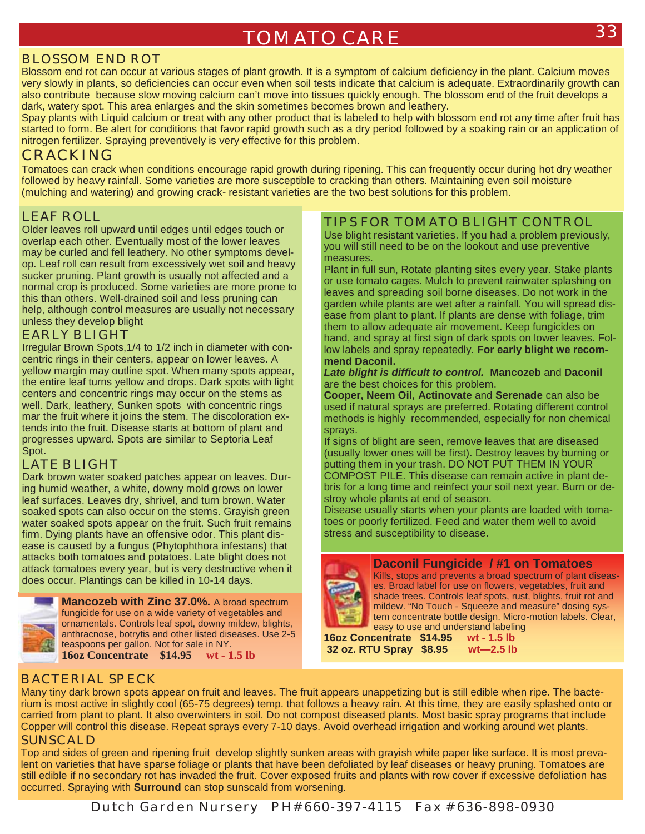### **BLOSSOM END ROT**

Blossom end rot can occur at various stages of plant growth. It is a symptom of calcium deficiency in the plant. Calcium moves very slowly in plants, so deficiencies can occur even when soil tests indicate that calcium is adequate. Extraordinarily growth can also contribute because slow moving calcium can't move into tissues quickly enough. The blossom end of the fruit develops a dark, watery spot. This area enlarges and the skin sometimes becomes brown and leathery.

Spay plants with Liquid calcium or treat with any other product that is labeled to help with blossom end rot any time after fruit has started to form. Be alert for conditions that favor rapid growth such as a dry period followed by a soaking rain or an application of nitrogen fertilizer. Spraying preventively is very effective for this problem.

## **CRACKING**

Tomatoes can crack when conditions encourage rapid growth during ripening. This can frequently occur during hot dry weather followed by heavy rainfall. Some varieties are more susceptible to cracking than others. Maintaining even soil moisture (mulching and watering) and growing crack- resistant varieties are the two best solutions for this problem.

## **LEAF ROLL**

Older leaves roll upward until edges until edges touch or overlap each other. Eventually most of the lower leaves may be curled and fell leathery. No other symptoms develop. Leaf roll can result from excessively wet soil and heavy sucker pruning. Plant growth is usually not affected and a normal crop is produced. Some varieties are more prone to this than others. Well-drained soil and less pruning can help, although control measures are usually not necessary unless they develop blight

### **EARLY BLIGHT**

Irregular Brown Spots,1/4 to 1/2 inch in diameter with concentric rings in their centers, appear on lower leaves. A yellow margin may outline spot. When many spots appear, the entire leaf turns yellow and drops. Dark spots with light centers and concentric rings may occur on the stems as well. Dark, leathery, Sunken spots with concentric rings mar the fruit where it joins the stem. The discoloration extends into the fruit. Disease starts at bottom of plant and progresses upward. Spots are similar to Septoria Leaf Spot.

### **LATE BLIGHT**

Dark brown water soaked patches appear on leaves. During humid weather, a white, downy mold grows on lower leaf surfaces. Leaves dry, shrivel, and turn brown. Water soaked spots can also occur on the stems. Grayish green water soaked spots appear on the fruit. Such fruit remains firm. Dying plants have an offensive odor. This plant disease is caused by a fungus (Phytophthora infestans) that attacks both tomatoes and potatoes. Late blight does not attack tomatoes every year, but is very destructive when it does occur. Plantings can be killed in 10-14 days.



**Mancozeb with Zinc 37.0%.** A broad spectrum fungicide for use on a wide variety of vegetables and ornamentals. Controls leaf spot, downy mildew, blights, anthracnose, botrytis and other listed diseases. Use 2-5 teaspoons per gallon. Not for sale in NY. **16oz Concentrate \$14.95 wt - 1.5 lb**

### **TIPS FOR TOMATO BLIGHT CONTROL**

Use blight resistant varieties. If you had a problem previously, you will still need to be on the lookout and use preventive measures.

Plant in full sun, Rotate planting sites every year. Stake plants or use tomato cages. Mulch to prevent rainwater splashing on leaves and spreading soil borne diseases. Do not work in the garden while plants are wet after a rainfall. You will spread disease from plant to plant. If plants are dense with foliage, trim them to allow adequate air movement. Keep fungicides on hand, and spray at first sign of dark spots on lower leaves. Follow labels and spray repeatedly. **For early blight we recommend Daconil.**

#### *Late blight is difficult to control.* **Mancozeb** and **Daconil**  are the best choices for this problem.

**Cooper, Neem Oil, Actinovate** and **Serenade** can also be used if natural sprays are preferred. Rotating different control methods is highly recommended, especially for non chemical sprays.

If signs of blight are seen, remove leaves that are diseased (usually lower ones will be first). Destroy leaves by burning or putting them in your trash. DO NOT PUT THEM IN YOUR COMPOST PILE. This disease can remain active in plant debris for a long time and reinfect your soil next year. Burn or destroy whole plants at end of season.

Disease usually starts when your plants are loaded with tomatoes or poorly fertilized. Feed and water them well to avoid stress and susceptibility to disease.

#### **Daconil Fungicide / #1 on Tomatoes**



Kills, stops and prevents a broad spectrum of plant diseases. Broad label for use on flowers, vegetables, fruit and shade trees. Controls leaf spots, rust, blights, fruit rot and mildew. "No Touch - Squeeze and measure" dosing system concentrate bottle design. Micro-motion labels. Clear, easy to use and understand labeling

**16oz Concentrate \$14.95 wt - 1.5 lb 32 oz. RTU Spray \$8.95 wt—2.5 lb**

### **BACTERIAL SPECK**

Many tiny dark brown spots appear on fruit and leaves. The fruit appears unappetizing but is still edible when ripe. The bacterium is most active in slightly cool (65-75 degrees) temp. that follows a heavy rain. At this time, they are easily splashed onto or carried from plant to plant. It also overwinters in soil. Do not compost diseased plants. Most basic spray programs that include Copper will control this disease. Repeat sprays every 7-10 days. Avoid overhead irrigation and working around wet plants.

### **SUNSCALD**

Top and sides of green and ripening fruit develop slightly sunken areas with grayish white paper like surface. It is most prevalent on varieties that have sparse foliage or plants that have been defoliated by leaf diseases or heavy pruning. Tomatoes are still edible if no secondary rot has invaded the fruit. Cover exposed fruits and plants with row cover if excessive defoliation has occurred. Spraying with **Surround** can stop sunscald from worsening.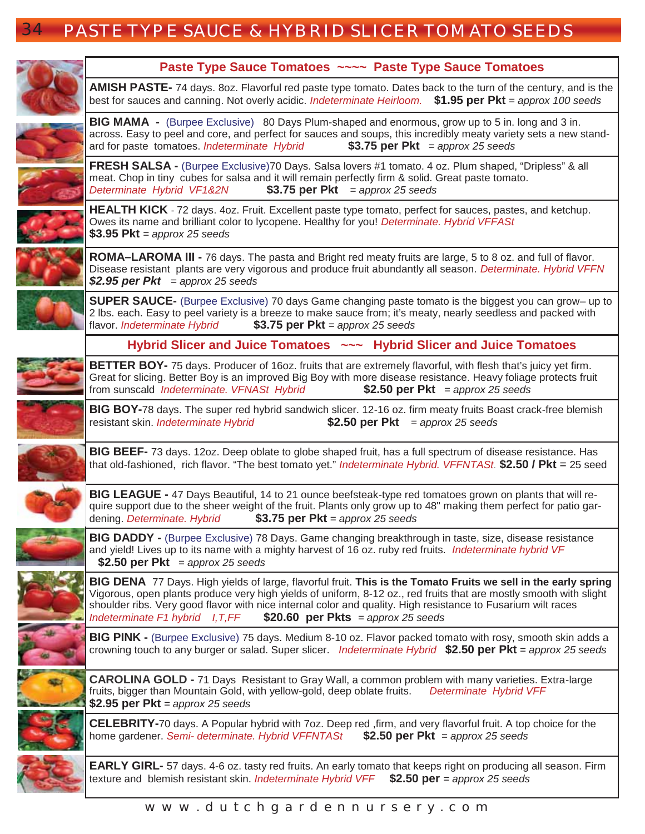# 34 **PASTE TYPE SAUCE & HYBRID SLICER TOMATO SEEDS**

| Paste Type Sauce Tomatoes ~~~~ Paste Type Sauce Tomatoes                                                                                                                                                                                                                                                                                                                                                                       |
|--------------------------------------------------------------------------------------------------------------------------------------------------------------------------------------------------------------------------------------------------------------------------------------------------------------------------------------------------------------------------------------------------------------------------------|
| AMISH PASTE- 74 days. 80z. Flavorful red paste type tomato. Dates back to the turn of the century, and is the<br>best for sauces and canning. Not overly acidic. Indeterminate Heirloom. \$1.95 per Pkt = approx 100 seeds                                                                                                                                                                                                     |
| <b>BIG MAMA</b> - (Burpee Exclusive) 80 Days Plum-shaped and enormous, grow up to 5 in. long and 3 in.<br>across. Easy to peel and core, and perfect for sauces and soups, this incredibly meaty variety sets a new stand-<br>\$3.75 per $Pkt =$ approx 25 seeds<br>ard for paste tomatoes. Indeterminate Hybrid                                                                                                               |
| FRESH SALSA - (Burpee Exclusive) 70 Days. Salsa lovers #1 tomato. 4 oz. Plum shaped, "Dripless" & all<br>meat. Chop in tiny cubes for salsa and it will remain perfectly firm & solid. Great paste tomato.<br>Determinate Hybrid VF1&2N<br>\$3.75 per Pkt = $approx 25$ seeds                                                                                                                                                  |
| <b>HEALTH KICK</b> - 72 days. 4oz. Fruit. Excellent paste type tomato, perfect for sauces, pastes, and ketchup.<br>Owes its name and brilliant color to lycopene. Healthy for you! Determinate. Hybrid VFFASt<br>\$3.95 $Pkt =$ approx 25 seeds                                                                                                                                                                                |
| <b>ROMA-LAROMA III - 76 days.</b> The pasta and Bright red meaty fruits are large, 5 to 8 oz. and full of flavor.<br>Disease resistant plants are very vigorous and produce fruit abundantly all season. Determinate. Hybrid VFFN<br>\$2.95 per $Pkt =$ approx 25 seeds                                                                                                                                                        |
| SUPER SAUCE- (Burpee Exclusive) 70 days Game changing paste tomato is the biggest you can grow- up to<br>2 lbs. each. Easy to peel variety is a breeze to make sauce from; it's meaty, nearly seedless and packed with<br>\$3.75 per $Pkt =$ approx 25 seeds<br>flavor. Indeterminate Hybrid                                                                                                                                   |
| Hybrid Slicer and Juice Tomatoes ~~~ Hybrid Slicer and Juice Tomatoes                                                                                                                                                                                                                                                                                                                                                          |
| <b>BETTER BOY-</b> 75 days. Producer of 16oz. fruits that are extremely flavorful, with flesh that's juicy yet firm.<br>Great for slicing. Better Boy is an improved Big Boy with more disease resistance. Heavy foliage protects fruit<br>from sunscald Indeterminate. VFNASt Hybrid<br>\$2.50 per Pkt = $approx 25$ seeds                                                                                                    |
| BIG BOY-78 days. The super red hybrid sandwich slicer. 12-16 oz. firm meaty fruits Boast crack-free blemish<br>\$2.50 per Pkt = $approx 25$ seeds<br>resistant skin. Indeterminate Hybrid                                                                                                                                                                                                                                      |
| <b>BIG BEEF-</b> 73 days. 12oz. Deep oblate to globe shaped fruit, has a full spectrum of disease resistance. Has<br>that old-fashioned, rich flavor. "The best tomato yet." Indeterminate Hybrid. VFFNTASt. \$2.50 / Pkt = 25 seed                                                                                                                                                                                            |
| BIG LEAGUE - 47 Days Beautiful, 14 to 21 ounce beefsteak-type red tomatoes grown on plants that will re-<br>quire support due to the sheer weight of the fruit. Plants only grow up to 48" making them perfect for patio gar-<br>\$3.75 per $Pkt =$ approx 25 seeds<br>dening. Determinate. Hybrid                                                                                                                             |
| <b>BIG DADDY</b> - (Burpee Exclusive) 78 Days. Game changing breakthrough in taste, size, disease resistance<br>and yield! Lives up to its name with a mighty harvest of 16 oz. ruby red fruits. Indeterminate hybrid VF<br>\$2.50 per Pkt = $approx 25$ seeds                                                                                                                                                                 |
| BIG DENA 77 Days. High yields of large, flavorful fruit. This is the Tomato Fruits we sell in the early spring<br>Vigorous, open plants produce very high yields of uniform, 8-12 oz., red fruits that are mostly smooth with slight<br>shoulder ribs. Very good flavor with nice internal color and quality. High resistance to Fusarium wilt races<br>\$20.60 per Pkts = approx 25 seeds<br>Indeterminate F1 hybrid I, T, FF |
| BIG PINK - (Burpee Exclusive) 75 days. Medium 8-10 oz. Flavor packed tomato with rosy, smooth skin adds a<br>crowning touch to any burger or salad. Super slicer. Indeterminate Hybrid \$2.50 per Pkt = approx 25 seeds                                                                                                                                                                                                        |
| <b>CAROLINA GOLD</b> - 71 Days Resistant to Gray Wall, a common problem with many varieties. Extra-large<br>fruits, bigger than Mountain Gold, with yellow-gold, deep oblate fruits.<br>Determinate Hybrid VFF<br>\$2.95 per $Pkt =$ approx 25 seeds                                                                                                                                                                           |
| <b>CELEBRITY-70</b> days. A Popular hybrid with 7oz. Deep red , firm, and very flavorful fruit. A top choice for the<br>\$2.50 per Pkt = approx 25 seeds<br>home gardener. Semi- determinate. Hybrid VFFNTASt                                                                                                                                                                                                                  |
| <b>EARLY GIRL-</b> 57 days. 4-6 oz. tasty red fruits. An early tomato that keeps right on producing all season. Firm<br>texture and blemish resistant skin. Indeterminate Hybrid VFF<br>\$2.50 per = approx 25 seeds                                                                                                                                                                                                           |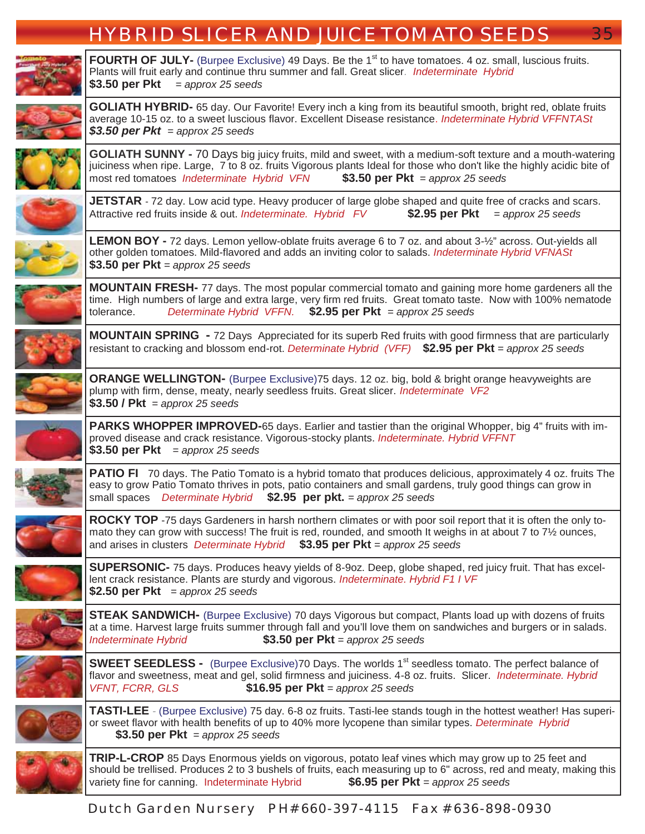# **HYBRID SLICER AND JUICE TOMATO SEEDS** 35

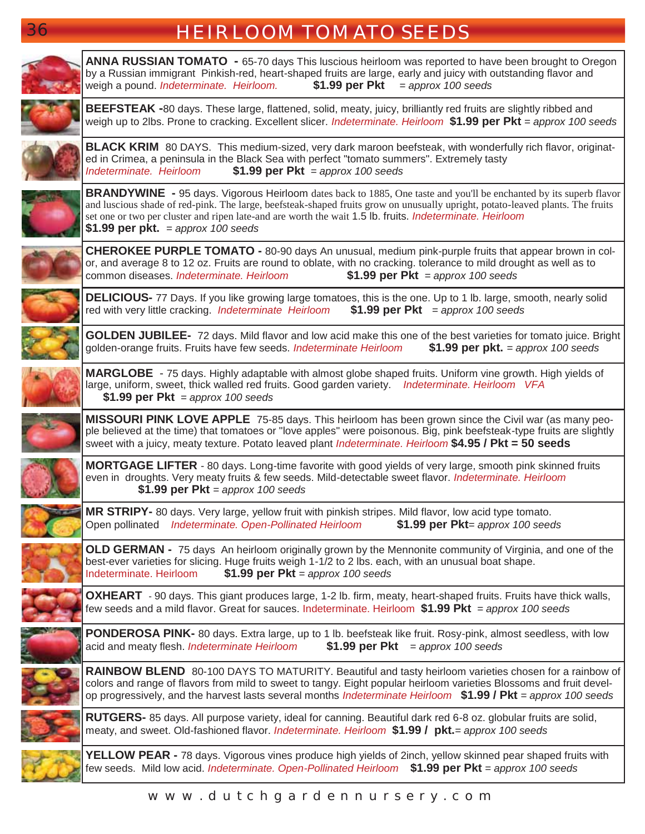| 36<br><b>HEIRLOOM TOMATO SEEDS</b> |                                                                                                                                                                                                                                                                                                                                                                                                                 |
|------------------------------------|-----------------------------------------------------------------------------------------------------------------------------------------------------------------------------------------------------------------------------------------------------------------------------------------------------------------------------------------------------------------------------------------------------------------|
|                                    | <b>ANNA RUSSIAN TOMATO</b> - 65-70 days This luscious heirloom was reported to have been brought to Oregon<br>by a Russian immigrant Pinkish-red, heart-shaped fruits are large, early and juicy with outstanding flavor and<br>\$1.99 per Pkt<br>weigh a pound. Indeterminate. Heirloom.<br>$=$ approx 100 seeds                                                                                               |
|                                    | <b>BEEFSTEAK</b> -80 days. These large, flattened, solid, meaty, juicy, brilliantly red fruits are slightly ribbed and<br>weigh up to 2lbs. Prone to cracking. Excellent slicer. Indeterminate. Heirloom \$1.99 per Pkt = approx 100 seeds                                                                                                                                                                      |
|                                    | <b>BLACK KRIM</b> 80 DAYS. This medium-sized, very dark maroon beefsteak, with wonderfully rich flavor, originat-<br>ed in Crimea, a peninsula in the Black Sea with perfect "tomato summers". Extremely tasty<br>\$1.99 per Pkt = approx 100 seeds<br>Indeterminate. Heirloom                                                                                                                                  |
|                                    | <b>BRANDYWINE</b> - 95 days. Vigorous Heirloom dates back to 1885, One taste and you'll be enchanted by its superb flavor<br>and luscious shade of red-pink. The large, beefsteak-shaped fruits grow on unusually upright, potato-leaved plants. The fruits<br>set one or two per cluster and ripen late-and are worth the wait 1.5 lb. fruits. Indeterminate. Heirloom<br>\$1.99 per pkt. $=$ approx 100 seeds |
|                                    | <b>CHEROKEE PURPLE TOMATO - 80-90 days An unusual, medium pink-purple fruits that appear brown in col-</b><br>or, and average 8 to 12 oz. Fruits are round to oblate, with no cracking. tolerance to mild drought as well as to<br>common diseases. Indeterminate. Heirloom<br>\$1.99 per Pkt = approx 100 seeds                                                                                                |
|                                    | <b>DELICIOUS-</b> 77 Days. If you like growing large tomatoes, this is the one. Up to 1 lb. large, smooth, nearly solid<br>\$1.99 per Pkt = approx 100 seeds<br>red with very little cracking. Indeterminate Heirloom                                                                                                                                                                                           |
|                                    | GOLDEN JUBILEE- 72 days. Mild flavor and low acid make this one of the best varieties for tomato juice. Bright<br>golden-orange fruits. Fruits have few seeds. Indeterminate Heirloom<br>\$1.99 per pkt. $=$ approx 100 seeds                                                                                                                                                                                   |
|                                    | MARGLOBE - 75 days. Highly adaptable with almost globe shaped fruits. Uniform vine growth. High yields of<br>large, uniform, sweet, thick walled red fruits. Good garden variety. Indeterminate. Heirloom VFA<br>\$1.99 per Pkt = approx 100 seeds                                                                                                                                                              |
|                                    | <b>MISSOURI PINK LOVE APPLE</b> 75-85 days. This heirloom has been grown since the Civil war (as many peo-<br>ple believed at the time) that tomatoes or "love apples" were poisonous. Big, pink beefsteak-type fruits are slightly<br>sweet with a juicy, meaty texture. Potato leaved plant Indeterminate. Heirloom \$4.95 / Pkt = 50 seeds                                                                   |
|                                    | <b>MORTGAGE LIFTER</b> - 80 days. Long-time favorite with good yields of very large, smooth pink skinned fruits<br>even in droughts. Very meaty fruits & few seeds. Mild-detectable sweet flavor. Indeterminate. Heirloom<br>\$1.99 per $Pkt =$ approx 100 seeds                                                                                                                                                |
|                                    | MR STRIPY- 80 days. Very large, yellow fruit with pinkish stripes. Mild flavor, low acid type tomato.<br>Indeterminate. Open-Pollinated Heirloom<br>\$1.99 per $Pkt =$ approx 100 seeds<br>Open pollinated                                                                                                                                                                                                      |
|                                    | <b>OLD GERMAN</b> - 75 days An heirloom originally grown by the Mennonite community of Virginia, and one of the<br>best-ever varieties for slicing. Huge fruits weigh 1-1/2 to 2 lbs. each, with an unusual boat shape.<br>\$1.99 per $Pkt =$ approx 100 seeds<br>Indeterminate. Heirloom                                                                                                                       |
|                                    | <b>OXHEART</b> - 90 days. This giant produces large, 1-2 lb. firm, meaty, heart-shaped fruits. Fruits have thick walls,<br>few seeds and a mild flavor. Great for sauces. Indeterminate. Heirloom \$1.99 Pkt = approx 100 seeds                                                                                                                                                                                 |
|                                    | PONDEROSA PINK-80 days. Extra large, up to 1 lb. beefsteak like fruit. Rosy-pink, almost seedless, with low<br>\$1.99 per Pkt = approx 100 seeds<br>acid and meaty flesh. Indeterminate Heirloom                                                                                                                                                                                                                |
|                                    | <b>RAINBOW BLEND</b> 80-100 DAYS TO MATURITY. Beautiful and tasty heirloom varieties chosen for a rainbow of<br>colors and range of flavors from mild to sweet to tangy. Eight popular heirloom varieties Blossoms and fruit devel-<br>op progressively, and the harvest lasts several months <i>Indeterminate Heirloom</i> \$1.99 / Pkt = approx 100 seeds                                                     |
|                                    | RUTGERS-85 days. All purpose variety, ideal for canning. Beautiful dark red 6-8 oz. globular fruits are solid,<br>meaty, and sweet. Old-fashioned flavor. Indeterminate. Heirloom \$1.99 / pkt. = approx 100 seeds                                                                                                                                                                                              |
|                                    | <b>YELLOW PEAR - 78 days.</b> Vigorous vines produce high yields of 2inch, yellow skinned pear shaped fruits with<br>few seeds. Mild low acid. Indeterminate. Open-Pollinated Heirloom \$1.99 per Pkt = approx 100 seeds                                                                                                                                                                                        |